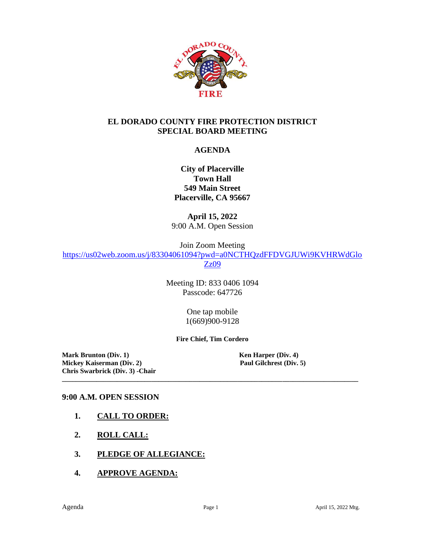

#### **EL DORADO COUNTY FIRE PROTECTION DISTRICT SPECIAL BOARD MEETING**

### **AGENDA**

**City of Placerville Town Hall 549 Main Street Placerville, CA 95667**

**April 15, 2022** 9:00 A.M. Open Session

Join Zoom Meeting

[https://us02web.zoom.us/j/83304061094?pwd=a0NCTHQzdFFDVGJUWi9KVHRWdGlo](https://us02web.zoom.us/j/83304061094?pwd=a0NCTHQzdFFDVGJUWi9KVHRWdGloZz09) [Zz09](https://us02web.zoom.us/j/83304061094?pwd=a0NCTHQzdFFDVGJUWi9KVHRWdGloZz09)

> Meeting ID: 833 0406 1094 Passcode: 647726

> > One tap mobile 1(669)900-9128

**Fire Chief, Tim Cordero**

**\_\_\_\_\_\_\_\_\_\_\_\_\_\_\_\_\_\_\_\_\_\_\_\_\_\_\_\_\_\_\_\_\_\_\_\_\_\_\_\_\_\_\_\_\_\_\_\_\_\_\_\_\_\_\_\_\_\_\_\_\_\_\_\_\_\_\_\_\_\_\_\_\_\_\_\_\_\_\_\_\_\_\_\_\_\_**

**Mark Brunton (Div. 1)**<br> **Mickey Kaiserman (Div. 2)**<br> **Paul Gilchrest (Div. 5)**<br> **Paul Gilchrest (Div. 5) Mickey Kaiserman** (Div. 2) **Chris Swarbrick (Div. 3) -Chair**

### **9:00 A.M. OPEN SESSION**

- **1. CALL TO ORDER:**
- **2. ROLL CALL:**
- **3. PLEDGE OF ALLEGIANCE:**
- **4. APPROVE AGENDA:**